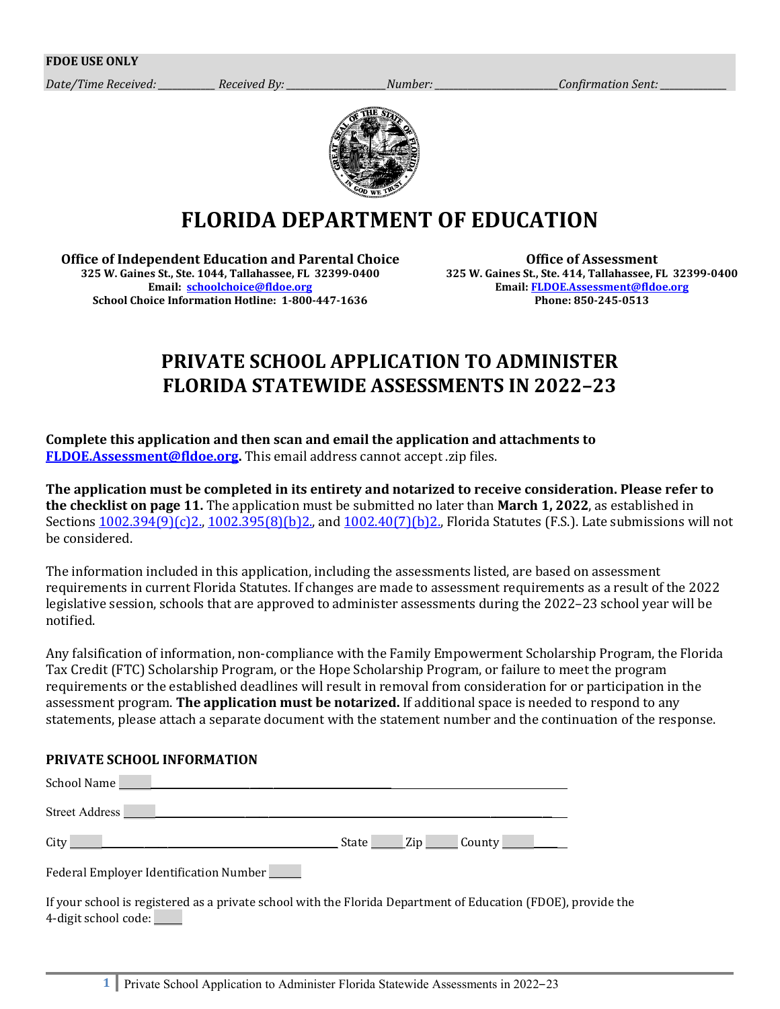*Date/Time Received: Received By: Number: <i>Confirmation Sent: Zumber: Zumber: Zumber: Zumber: Zumber: Zumber: Zumber: Zumber: Zumber: Zumber: Zumber: Zumber: Zumber: Zumber: Zumber: Zu* 



# **FLORIDA DEPARTMENT OF EDUCATION**

**Office of Independent Education and Parental Choice 325 W. Gaines St., Ste. 1044, Tallahassee, FL 32399-0400 Email: [schoolchoice@fldoe.org](mailto:schoolchoice@fldoe.org) School Choice Information Hotline: 1-800-447-1636**

**Office of Assessment 325 W. Gaines St., Ste. 414, Tallahassee, FL 32399-0400 Email: [FLDOE.Assessment@fldoe.org](mailto:FLDOE.Assessment@fldoe.org) Phone: 850-245-0513**

## **PRIVATE SCHOOL APPLICATION TO ADMINISTER FLORIDA STATEWIDE ASSESSMENTS IN 2022–23**

#### **Complete this application and then scan and email the application and attachments to [FLDOE.Assessment@fldoe.org.](mailto:FLDOE.Assessment@fldoe.org)** This email address cannot accept .zip files.

**The application must be completed in its entirety and notarized to receive consideration. Please refer to the checklist on page 11.** The application must be submitted no later than **March 1, 2022**, as established in Section[s 1002.394\(9\)\(c\)2.,](http://leg.state.fl.us/STATUTES/index.cfm?App_mode=Display_Statute&Search_String=&URL=1000-1099/1002/Sections/1002.394.html) [1002.395\(8\)\(b\)2.,](http://www.leg.state.fl.us/statutes/index.cfm?App_mode=Display_Statute&URL=1000-1099/1002/Sections/1002.395.html) and [1002.40\(7\)\(b\)2.,](http://www.leg.state.fl.us/Statutes/index.cfm?App_mode=Display_Statute&Search_String=&URL=1000-1099/1002/Sections/1002.40.html) Florida Statutes (F.S.). Late submissions will not be considered.

The information included in this application, including the assessments listed, are based on assessment requirements in current Florida Statutes. If changes are made to assessment requirements as a result of the 2022 legislative session, schools that are approved to administer assessments during the 2022–23 school year will be notified.

Any falsification of information, non-compliance with the Family Empowerment Scholarship Program, the Florida Tax Credit (FTC) Scholarship Program, or the Hope Scholarship Program, or failure to meet the program requirements or the established deadlines will result in removal from consideration for or participation in the assessment program. **The application must be notarized.** If additional space is needed to respond to any statements, please attach a separate document with the statement number and the continuation of the response.

## **PRIVATE SCHOOL INFORMATION**

| Street Address                         |                  |
|----------------------------------------|------------------|
|                                        | State Zip County |
| Federal Employer Identification Number |                  |

If your school is registered as a private school with the Florida Department of Education (FDOE), provide the 4-digit school code: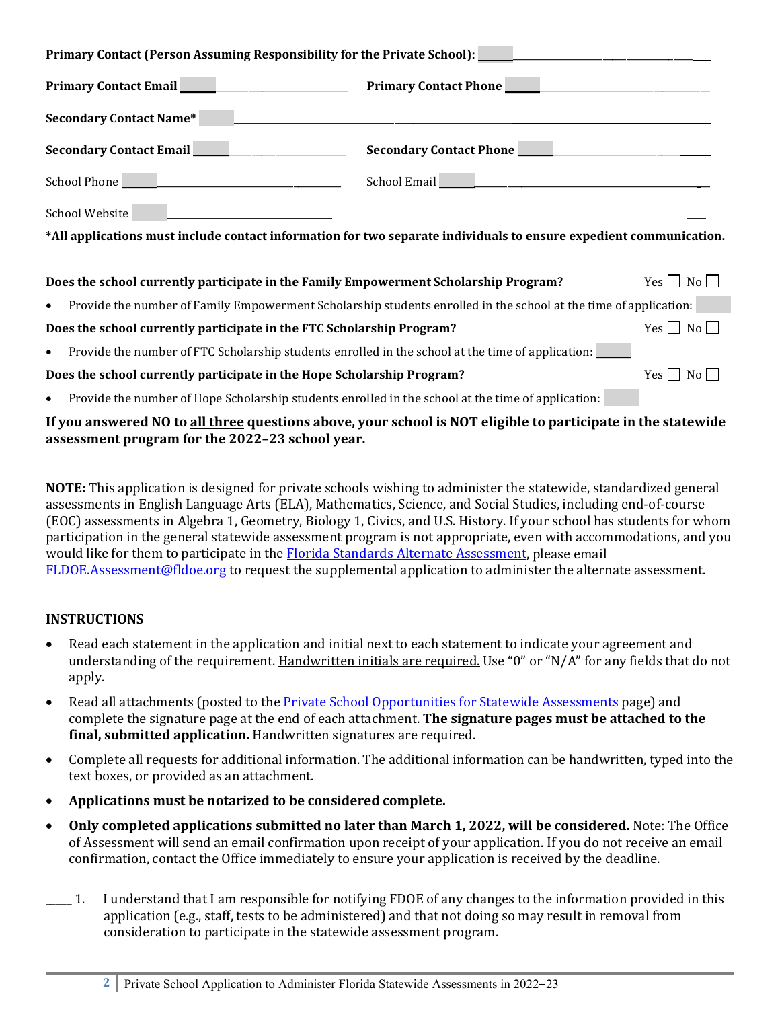| Primary Contact (Person Assuming Responsibility for the Private School): ___________________________                                                                                                                                 |  |  |
|--------------------------------------------------------------------------------------------------------------------------------------------------------------------------------------------------------------------------------------|--|--|
|                                                                                                                                                                                                                                      |  |  |
| Secondary Contact Name* <u>New York: Name and Secondary Contact Name</u> * 1986.                                                                                                                                                     |  |  |
|                                                                                                                                                                                                                                      |  |  |
| School Phone <u>Communications and School Email Communications and the school Phone Communications are seen as school Email Communications and the school Email Communications are seen as a set of the school Email Communicati</u> |  |  |
|                                                                                                                                                                                                                                      |  |  |
| *All applications must include contact information for two separate individuals to ensure expedient communication.                                                                                                                   |  |  |
| Does the school currently participate in the Family Empowerment Scholarship Program? Yes $\Box$ No $\Box$                                                                                                                            |  |  |
| Provide the number of Family Empowerment Scholarship students enrolled in the school at the time of application:<br>$\bullet$                                                                                                        |  |  |
| Yes $\Box$ No $\Box$<br>Does the school currently participate in the FTC Scholarship Program?                                                                                                                                        |  |  |
| Provide the number of FTC Scholarship students enrolled in the school at the time of application:<br>$\bullet$                                                                                                                       |  |  |
| Yes $\Box$ No $\Box$<br>Does the school currently participate in the Hope Scholarship Program?                                                                                                                                       |  |  |

Provide the number of Hope Scholarship students enrolled in the school at the time of application: \_\_\_\_\_\_\_

## **If you answered NO to all three questions above, your school is NOT eligible to participate in the statewide assessment program for the 2022–23 school year.**

**NOTE:** This application is designed for private schools wishing to administer the statewide, standardized general assessments in English Language Arts (ELA), Mathematics, Science, and Social Studies, including end-of-course (EOC) assessments in Algebra 1, Geometry, Biology 1, Civics, and U.S. History. If your school has students for whom participation in the general statewide assessment program is not appropriate, even with accommodations, and you would like for them to participate in the **Florida Standards Alternate Assessment**, please email [FLDOE.Assessment@fldoe.org](mailto:FLDOE.Assessment@fldoe.org) to request the supplemental application to administer the alternate assessment.

## **INSTRUCTIONS**

- Read each statement in the application and initial next to each statement to indicate your agreement and understanding of the requirement. Handwritten initials are required. Use "0" or "N/A" for any fields that do not apply.
- Read all attachments (posted to th[e Private School Opportunities for Statewide Assessments](http://www.fldoe.org/accountability/assessments/k-12-student-assessment/private-schools/) page) and complete the signature page at the end of each attachment. **The signature pages must be attached to the final, submitted application.** Handwritten signatures are required.
- Complete all requests for additional information. The additional information can be handwritten, typed into the text boxes, or provided as an attachment.
- **Applications must be notarized to be considered complete.**
- **Only completed applications submitted no later than March 1, 2022, will be considered.** Note: The Office of Assessment will send an email confirmation upon receipt of your application. If you do not receive an email confirmation, contact the Office immediately to ensure your application is received by the deadline.
	- \_\_\_\_\_ 1. I understand that I am responsible for notifying FDOE of any changes to the information provided in this application (e.g., staff, tests to be administered) and that not doing so may result in removal from consideration to participate in the statewide assessment program.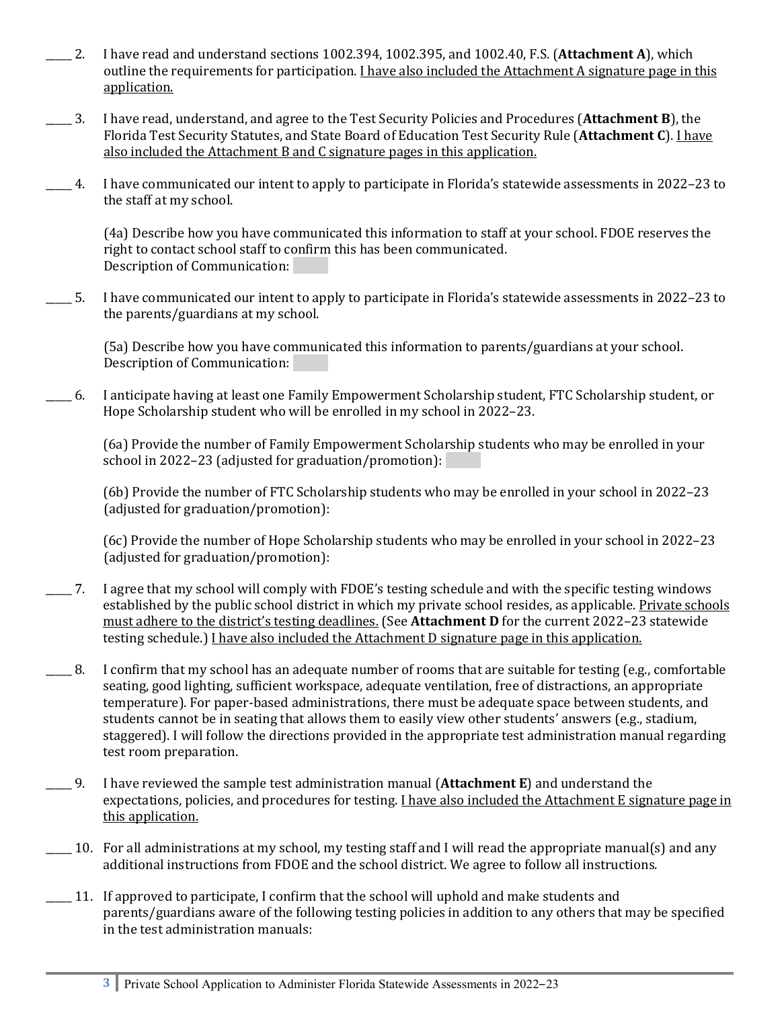- \_\_\_\_\_ 2. I have read and understand sections 1002.394, 1002.395, and 1002.40, F.S. (**Attachment A**), which outline the requirements for participation. I have also included the Attachment A signature page in this application.
- \_\_\_\_\_ 3. I have read, understand, and agree to the Test Security Policies and Procedures (**Attachment B**), the Florida Test Security Statutes, and State Board of Education Test Security Rule (**Attachment C**). I have also included the Attachment B and C signature pages in this application.
- \_\_\_\_\_ 4. I have communicated our intent to apply to participate in Florida's statewide assessments in 2022–23 to the staff at my school.

(4a) Describe how you have communicated this information to staff at your school. FDOE reserves the right to contact school staff to confirm this has been communicated. Description of Communication:

\_\_\_\_\_ 5. I have communicated our intent to apply to participate in Florida's statewide assessments in 2022–23 to the parents/guardians at my school.

(5a) Describe how you have communicated this information to parents/guardians at your school. Description of Communication:

\_\_\_\_\_ 6. I anticipate having at least one Family Empowerment Scholarship student, FTC Scholarship student, or Hope Scholarship student who will be enrolled in my school in 2022–23.

(6a) Provide the number of Family Empowerment Scholarship students who may be enrolled in your school in 2022–23 (adjusted for graduation/promotion):

(6b) Provide the number of FTC Scholarship students who may be enrolled in your school in 2022–23 (adjusted for graduation/promotion):

(6c) Provide the number of Hope Scholarship students who may be enrolled in your school in 2022–23 (adjusted for graduation/promotion):

- \_\_\_\_\_ 7. I agree that my school will comply with FDOE's testing schedule and with the specific testing windows established by the public school district in which my private school resides, as applicable. Private schools must adhere to the district's testing deadlines. (See **Attachment D** for the current 2022–23 statewide testing schedule.) I have also included the Attachment D signature page in this application.
- \_\_\_\_\_ 8. I confirm that my school has an adequate number of rooms that are suitable for testing (e.g., comfortable seating, good lighting, sufficient workspace, adequate ventilation, free of distractions, an appropriate temperature). For paper-based administrations, there must be adequate space between students, and students cannot be in seating that allows them to easily view other students' answers (e.g., stadium, staggered). I will follow the directions provided in the appropriate test administration manual regarding test room preparation.
- \_\_\_\_\_ 9. I have reviewed the sample test administration manual (**Attachment E**) and understand the expectations, policies, and procedures for testing. I have also included the Attachment E signature page in this application.
- \_\_\_\_\_ 10. For all administrations at my school, my testing staff and I will read the appropriate manual(s) and any additional instructions from FDOE and the school district. We agree to follow all instructions.
- \_\_\_\_\_ 11. If approved to participate, I confirm that the school will uphold and make students and parents/guardians aware of the following testing policies in addition to any others that may be specified in the test administration manuals: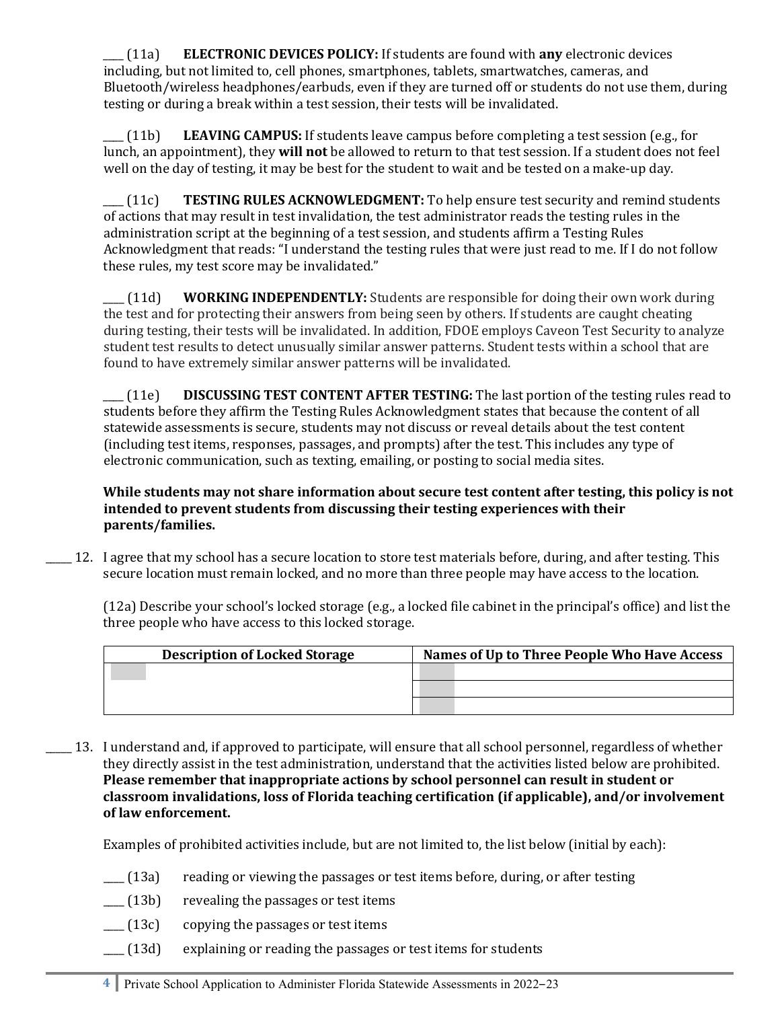\_\_\_\_ (11a) **ELECTRONIC DEVICES POLICY:** If students are found with **any** electronic devices including, but not limited to, cell phones, smartphones, tablets, smartwatches, cameras, and Bluetooth/wireless headphones/earbuds, even if they are turned off or students do not use them, during testing or during a break within a test session, their tests will be invalidated.

\_\_\_\_ (11b) **LEAVING CAMPUS:** If students leave campus before completing a test session (e.g., for lunch, an appointment), they **will not** be allowed to return to that test session. If a student does not feel well on the day of testing, it may be best for the student to wait and be tested on a make-up day.

\_\_\_\_ (11c) **TESTING RULES ACKNOWLEDGMENT:** To help ensure test security and remind students of actions that may result in test invalidation, the test administrator reads the testing rules in the administration script at the beginning of a test session, and students affirm a Testing Rules Acknowledgment that reads: "I understand the testing rules that were just read to me. If I do not follow these rules, my test score may be invalidated."

\_\_\_\_ (11d) **WORKING INDEPENDENTLY:** Students are responsible for doing their own work during the test and for protecting their answers from being seen by others. If students are caught cheating during testing, their tests will be invalidated. In addition, FDOE employs Caveon Test Security to analyze student test results to detect unusually similar answer patterns. Student tests within a school that are found to have extremely similar answer patterns will be invalidated.

\_\_\_\_ (11e) **DISCUSSING TEST CONTENT AFTER TESTING:** The last portion of the testing rules read to students before they affirm the Testing Rules Acknowledgment states that because the content of all statewide assessments is secure, students may not discuss or reveal details about the test content (including test items, responses, passages, and prompts) after the test. This includes any type of electronic communication, such as texting, emailing, or posting to social media sites.

**While students may not share information about secure test content after testing, this policy is not intended to prevent students from discussing their testing experiences with their parents/families.** 

\_\_\_\_\_ 12. I agree that my school has a secure location to store test materials before, during, and after testing. This secure location must remain locked, and no more than three people may have access to the location.

(12a) Describe your school's locked storage (e.g., a locked file cabinet in the principal's office) and list the three people who have access to this locked storage.

| <b>Description of Locked Storage</b> | Names of Up to Three People Who Have Access |  |  |
|--------------------------------------|---------------------------------------------|--|--|
|                                      |                                             |  |  |
|                                      |                                             |  |  |
|                                      |                                             |  |  |

\_\_\_\_\_ 13. I understand and, if approved to participate, will ensure that all school personnel, regardless of whether they directly assist in the test administration, understand that the activities listed below are prohibited. **Please remember that inappropriate actions by school personnel can result in student or classroom invalidations, loss of Florida teaching certification (if applicable), and/or involvement of law enforcement.** 

Examples of prohibited activities include, but are not limited to, the list below (initial by each):

- \_\_\_\_ (13a) reading or viewing the passages or test items before, during, or after testing
- $\lfloor$  (13b) revealing the passages or test items
- \_\_\_\_ (13c) copying the passages or test items
- \_\_\_\_ (13d) explaining or reading the passages or test items for students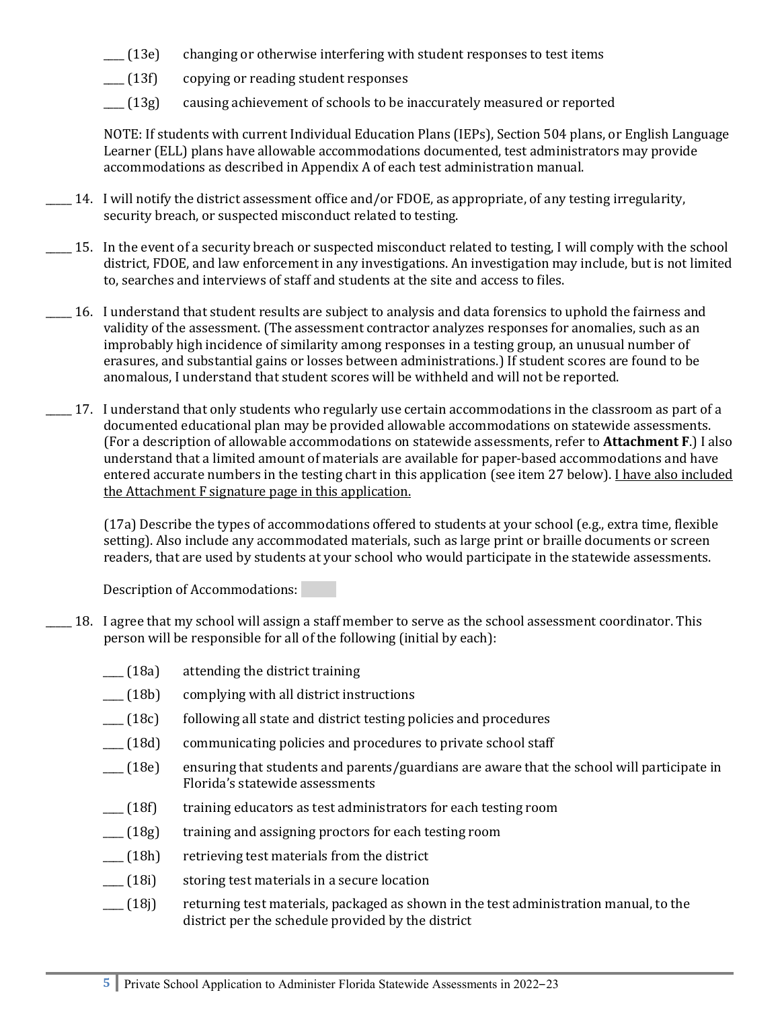- $\Gamma$  (13e) changing or otherwise interfering with student responses to test items
- \_\_\_\_ (13f) copying or reading student responses
- \_\_\_\_ (13g) causing achievement of schools to be inaccurately measured or reported

NOTE: If students with current Individual Education Plans (IEPs), Section 504 plans, or English Language Learner (ELL) plans have allowable accommodations documented, test administrators may provide accommodations as described in Appendix A of each test administration manual.

- \_\_\_\_\_ 14. I will notify the district assessment office and/or FDOE, as appropriate, of any testing irregularity, security breach, or suspected misconduct related to testing.
- $\Box$  15. In the event of a security breach or suspected misconduct related to testing, I will comply with the school district, FDOE, and law enforcement in any investigations. An investigation may include, but is not limited to, searches and interviews of staff and students at the site and access to files.
- \_\_\_\_\_ 16. I understand that student results are subject to analysis and data forensics to uphold the fairness and validity of the assessment. (The assessment contractor analyzes responses for anomalies, such as an improbably high incidence of similarity among responses in a testing group, an unusual number of erasures, and substantial gains or losses between administrations.) If student scores are found to be anomalous, I understand that student scores will be withheld and will not be reported.
- \_\_\_\_\_ 17. I understand that only students who regularly use certain accommodations in the classroom as part of a documented educational plan may be provided allowable accommodations on statewide assessments. (For a description of allowable accommodations on statewide assessments, refer to **Attachment F**.) I also understand that a limited amount of materials are available for paper-based accommodations and have entered accurate numbers in the testing chart in this application (see item 27 below). *I have also included* the Attachment F signature page in this application.

(17a) Describe the types of accommodations offered to students at your school (e.g., extra time, flexible setting). Also include any accommodated materials, such as large print or braille documents or screen readers, that are used by students at your school who would participate in the statewide assessments.

Description of Accommodations:

- \_\_\_\_\_ 18. I agree that my school will assign a staff member to serve as the school assessment coordinator. This person will be responsible for all of the following (initial by each):
	- \_\_\_\_ (18a) attending the district training
	- \_\_\_\_ (18b) complying with all district instructions
	- \_\_\_\_ (18c) following all state and district testing policies and procedures
	- \_\_\_\_ (18d) communicating policies and procedures to private school staff
	- \_\_\_\_ (18e) ensuring that students and parents/guardians are aware that the school will participate in Florida's statewide assessments
	- \_\_\_\_ (18f) training educators as test administrators for each testing room
	- $\lfloor$  (18g) training and assigning proctors for each testing room
	- \_\_\_\_ (18h) retrieving test materials from the district
	- \_\_\_\_ (18i) storing test materials in a secure location
	- $\frac{1}{18}$  returning test materials, packaged as shown in the test administration manual, to the district per the schedule provided by the district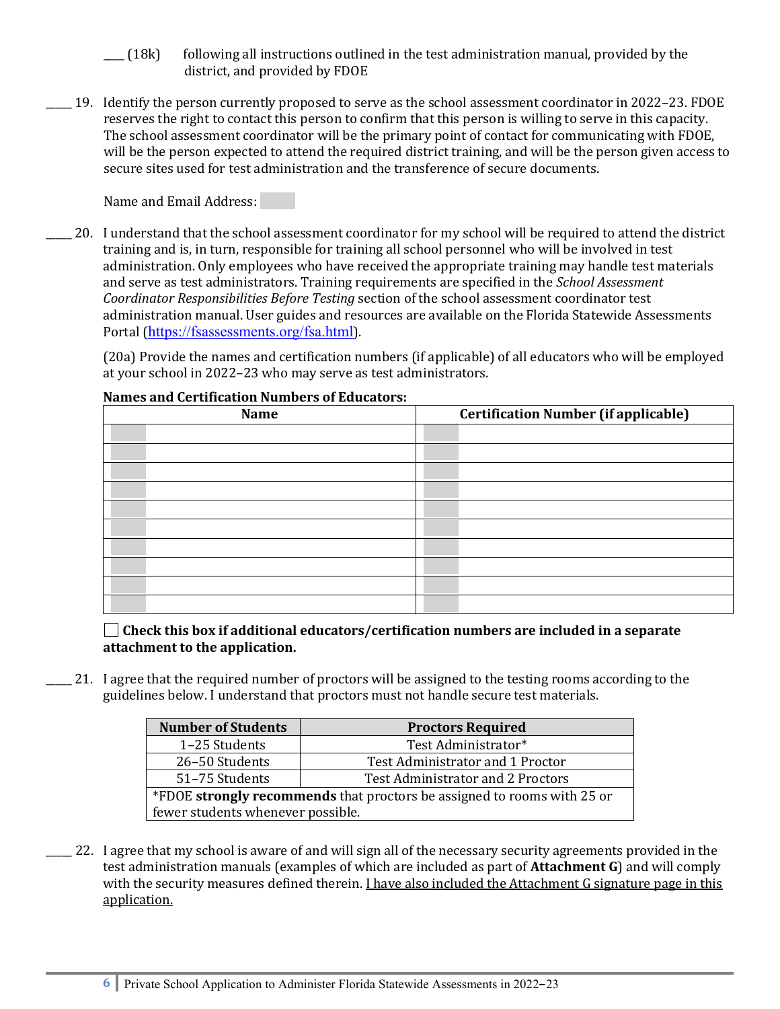- \_\_\_\_ (18k) following all instructions outlined in the test administration manual, provided by the district, and provided by FDOE
- \_\_\_\_\_ 19. Identify the person currently proposed to serve as the school assessment coordinator in 2022–23. FDOE reserves the right to contact this person to confirm that this person is willing to serve in this capacity. The school assessment coordinator will be the primary point of contact for communicating with FDOE, will be the person expected to attend the required district training, and will be the person given access to secure sites used for test administration and the transference of secure documents.

Name and Email Address:

\_\_\_\_\_ 20. I understand that the school assessment coordinator for my school will be required to attend the district training and is, in turn, responsible for training all school personnel who will be involved in test administration. Only employees who have received the appropriate training may handle test materials and serve as test administrators. Training requirements are specified in the *School Assessment Coordinator Responsibilities Before Testing* section of the school assessment coordinator test administration manual. User guides and resources are available on the Florida Statewide Assessments Portal (<https://fsassessments.org/fsa.html>).

(20a) Provide the names and certification numbers (if applicable) of all educators who will be employed at your school in 2022–23 who may serve as test administrators.

| <b>Name</b> | <b>Certification Number (if applicable)</b> |  |  |
|-------------|---------------------------------------------|--|--|
|             |                                             |  |  |
|             |                                             |  |  |
|             |                                             |  |  |
|             |                                             |  |  |
|             |                                             |  |  |
|             |                                             |  |  |
|             |                                             |  |  |
|             |                                             |  |  |
|             |                                             |  |  |
|             |                                             |  |  |

## **Names and Certification Numbers of Educators:**

**Check this box if additional educators/certification numbers are included in a separate attachment to the application.**

\_\_\_\_\_ 21. I agree that the required number of proctors will be assigned to the testing rooms according to the guidelines below. I understand that proctors must not handle secure test materials.

| <b>Number of Students</b>                                               | <b>Proctors Required</b>          |  |
|-------------------------------------------------------------------------|-----------------------------------|--|
| 1-25 Students                                                           | Test Administrator*               |  |
| 26-50 Students                                                          | Test Administrator and 1 Proctor  |  |
| 51-75 Students                                                          | Test Administrator and 2 Proctors |  |
| *FDOE strongly recommends that proctors be assigned to rooms with 25 or |                                   |  |
| fewer students whenever possible.                                       |                                   |  |
|                                                                         |                                   |  |

\_\_\_\_\_ 22. I agree that my school is aware of and will sign all of the necessary security agreements provided in the test administration manuals (examples of which are included as part of **Attachment G**) and will comply with the security measures defined therein. I have also included the Attachment G signature page in this application.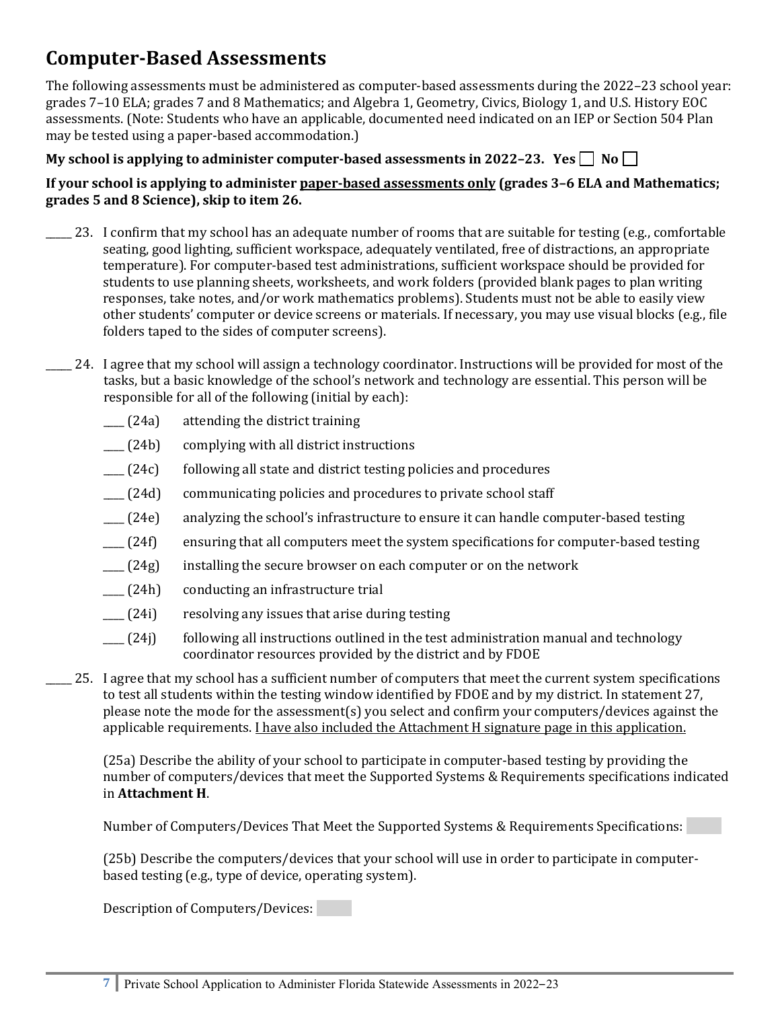# **Computer-Based Assessments**

The following assessments must be administered as computer-based assessments during the 2022–23 school year: grades 7–10 ELA; grades 7 and 8 Mathematics; and Algebra 1, Geometry, Civics, Biology 1, and U.S. History EOC assessments. (Note: Students who have an applicable, documented need indicated on an IEP or Section 504 Plan may be tested using a paper-based accommodation.)

## My school is applying to administer computer-based assessments in 2022-23. Yes  $\Box$  No  $\Box$

## **If your school is applying to administer paper-based assessments only (grades 3–6 ELA and Mathematics; grades 5 and 8 Science), skip to item 26.**

- \_\_\_\_\_ 23. I confirm that my school has an adequate number of rooms that are suitable for testing (e.g., comfortable seating, good lighting, sufficient workspace, adequately ventilated, free of distractions, an appropriate temperature). For computer-based test administrations, sufficient workspace should be provided for students to use planning sheets, worksheets, and work folders (provided blank pages to plan writing responses, take notes, and/or work mathematics problems). Students must not be able to easily view other students' computer or device screens or materials. If necessary, you may use visual blocks (e.g., file folders taped to the sides of computer screens).
- \_\_\_\_\_ 24. I agree that my school will assign a technology coordinator. Instructions will be provided for most of the tasks, but a basic knowledge of the school's network and technology are essential. This person will be responsible for all of the following (initial by each):
	- \_\_\_\_ (24a) attending the district training
	- \_\_\_\_ (24b) complying with all district instructions
	- $\Box$  (24c) following all state and district testing policies and procedures
	- \_\_\_\_ (24d) communicating policies and procedures to private school staff
	- \_\_\_\_ (24e) analyzing the school's infrastructure to ensure it can handle computer-based testing
	- \_\_\_\_ (24f) ensuring that all computers meet the system specifications for computer-based testing
	- $\Box$  (24g) installing the secure browser on each computer or on the network
	- \_\_\_\_ (24h) conducting an infrastructure trial
	- \_\_\_\_ (24i) resolving any issues that arise during testing
	- $\Box$  (24j) following all instructions outlined in the test administration manual and technology coordinator resources provided by the district and by FDOE
- \_\_\_\_\_ 25. I agree that my school has a sufficient number of computers that meet the current system specifications to test all students within the testing window identified by FDOE and by my district. In statement 27, please note the mode for the assessment(s) you select and confirm your computers/devices against the applicable requirements. I have also included the Attachment H signature page in this application.

(25a) Describe the ability of your school to participate in computer-based testing by providing the number of computers/devices that meet the Supported Systems & Requirements specifications indicated in **Attachment H**.

Number of Computers/Devices That Meet the Supported Systems & Requirements Specifications:

(25b) Describe the computers/devices that your school will use in order to participate in computerbased testing (e.g., type of device, operating system).

Description of Computers/Devices: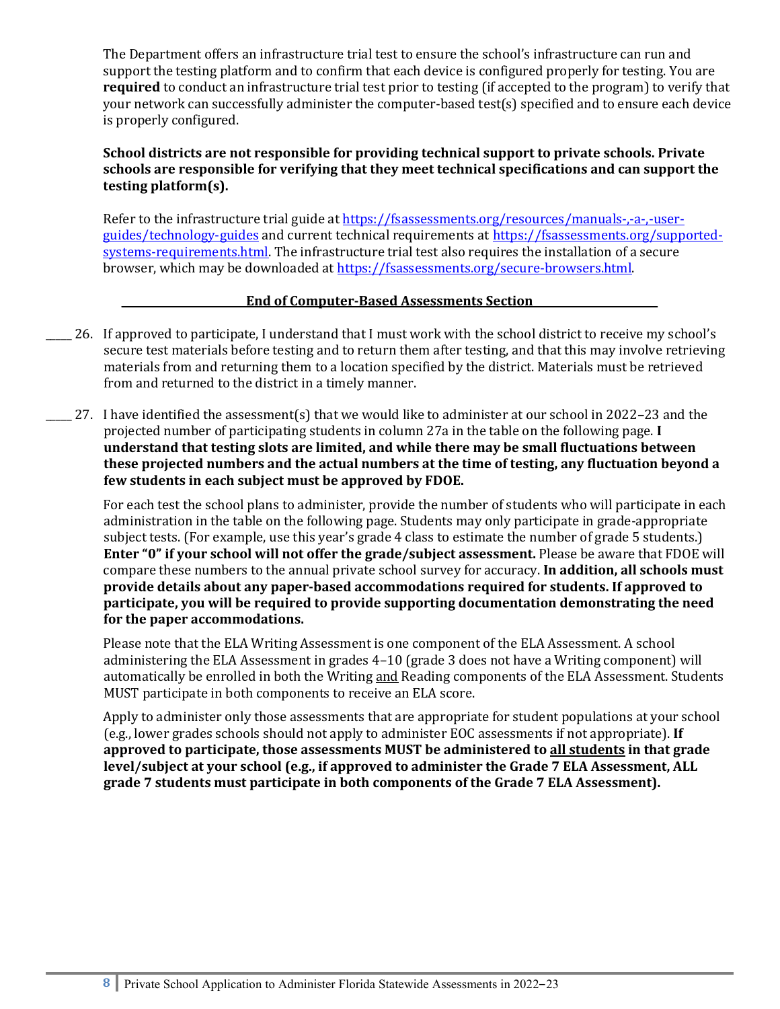The Department offers an infrastructure trial test to ensure the school's infrastructure can run and support the testing platform and to confirm that each device is configured properly for testing. You are **required** to conduct an infrastructure trial test prior to testing (if accepted to the program) to verify that your network can successfully administer the computer-based test(s) specified and to ensure each device is properly configured.

## **School districts are not responsible for providing technical support to private schools. Private schools are responsible for verifying that they meet technical specifications and can support the testing platform(s).**

Refer to the infrastructure trial guide at [https://fsassessments.org/resources/manuals-,-a-,-user](https://fsassessments.org/resources/manuals-,-a-,-user-guides/technology-guides)[guides/technology-guides](https://fsassessments.org/resources/manuals-,-a-,-user-guides/technology-guides) and current technical requirements at [https://fsassessments.org/supported](https://fsassessments.org/supported-systems-requirements.html)[systems-requirements.html.](https://fsassessments.org/supported-systems-requirements.html) The infrastructure trial test also requires the installation of a secure browser, which may be downloaded at [https://fsassessments.org/secure-browsers.html.](https://fsassessments.org/secure-browsers.html)

#### **\_\_\_\_\_\_\_\_\_\_\_\_\_\_\_\_\_\_\_\_\_\_\_\_End of Computer-Based Assessments Section\_\_\_\_\_\_\_\_\_\_\_\_\_\_\_\_\_\_\_\_\_\_\_\_**

- \_\_\_\_\_ 26. If approved to participate, I understand that I must work with the school district to receive my school's secure test materials before testing and to return them after testing, and that this may involve retrieving materials from and returning them to a location specified by the district. Materials must be retrieved from and returned to the district in a timely manner.
- \_\_\_\_\_ 27. I have identified the assessment(s) that we would like to administer at our school in 2022–23 and the projected number of participating students in column 27a in the table on the following page. **I understand that testing slots are limited, and while there may be small fluctuations between these projected numbers and the actual numbers at the time of testing, any fluctuation beyond a few students in each subject must be approved by FDOE.**

For each test the school plans to administer, provide the number of students who will participate in each administration in the table on the following page. Students may only participate in grade-appropriate subject tests. (For example, use this year's grade 4 class to estimate the number of grade 5 students.) **Enter "0" if your school will not offer the grade/subject assessment.** Please be aware that FDOE will compare these numbers to the annual private school survey for accuracy. **In addition, all schools must provide details about any paper-based accommodations required for students. If approved to participate, you will be required to provide supporting documentation demonstrating the need for the paper accommodations.**

Please note that the ELA Writing Assessment is one component of the ELA Assessment. A school administering the ELA Assessment in grades 4–10 (grade 3 does not have a Writing component) will automatically be enrolled in both the Writing and Reading components of the ELA Assessment. Students MUST participate in both components to receive an ELA score.

Apply to administer only those assessments that are appropriate for student populations at your school (e.g., lower grades schools should not apply to administer EOC assessments if not appropriate). **If approved to participate, those assessments MUST be administered to all students in that grade level/subject at your school (e.g., if approved to administer the Grade 7 ELA Assessment, ALL grade 7 students must participate in both components of the Grade 7 ELA Assessment).**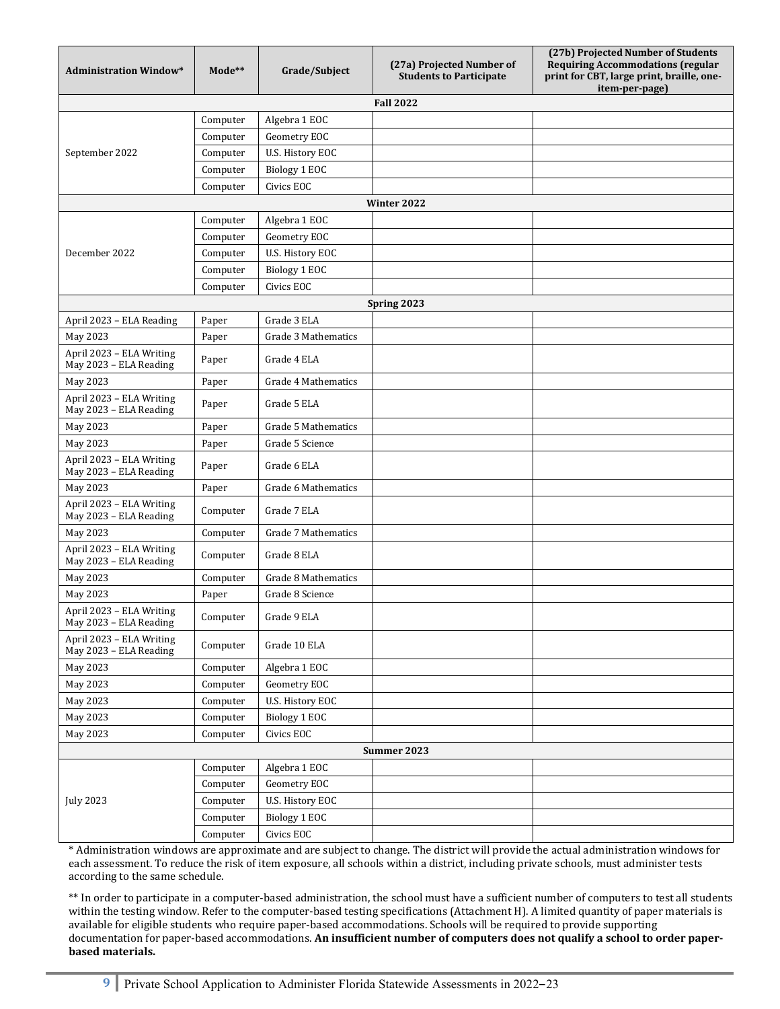| <b>Administration Window*</b>                      | Mode**   | Grade/Subject       | (27a) Projected Number of<br><b>Students to Participate</b> | (27b) Projected Number of Students<br><b>Requiring Accommodations (regular</b><br>print for CBT, large print, braille, one-<br>item-per-page) |
|----------------------------------------------------|----------|---------------------|-------------------------------------------------------------|-----------------------------------------------------------------------------------------------------------------------------------------------|
|                                                    |          |                     | <b>Fall 2022</b>                                            |                                                                                                                                               |
|                                                    | Computer | Algebra 1 EOC       |                                                             |                                                                                                                                               |
|                                                    | Computer | Geometry EOC        |                                                             |                                                                                                                                               |
| September 2022                                     | Computer | U.S. History EOC    |                                                             |                                                                                                                                               |
|                                                    | Computer | Biology 1 EOC       |                                                             |                                                                                                                                               |
|                                                    | Computer | Civics EOC          |                                                             |                                                                                                                                               |
|                                                    |          |                     | Winter 2022                                                 |                                                                                                                                               |
|                                                    | Computer | Algebra 1 EOC       |                                                             |                                                                                                                                               |
|                                                    | Computer | Geometry EOC        |                                                             |                                                                                                                                               |
| December 2022                                      | Computer | U.S. History EOC    |                                                             |                                                                                                                                               |
|                                                    | Computer | Biology 1 EOC       |                                                             |                                                                                                                                               |
|                                                    | Computer | Civics EOC          |                                                             |                                                                                                                                               |
|                                                    |          |                     | Spring 2023                                                 |                                                                                                                                               |
| April 2023 - ELA Reading                           | Paper    | Grade 3 ELA         |                                                             |                                                                                                                                               |
| May 2023                                           | Paper    | Grade 3 Mathematics |                                                             |                                                                                                                                               |
| April 2023 - ELA Writing<br>May 2023 - ELA Reading | Paper    | Grade 4 ELA         |                                                             |                                                                                                                                               |
| May 2023                                           | Paper    | Grade 4 Mathematics |                                                             |                                                                                                                                               |
| April 2023 - ELA Writing<br>May 2023 - ELA Reading | Paper    | Grade 5 ELA         |                                                             |                                                                                                                                               |
| May 2023                                           | Paper    | Grade 5 Mathematics |                                                             |                                                                                                                                               |
| May 2023                                           | Paper    | Grade 5 Science     |                                                             |                                                                                                                                               |
| April 2023 - ELA Writing<br>May 2023 - ELA Reading | Paper    | Grade 6 ELA         |                                                             |                                                                                                                                               |
| May 2023                                           | Paper    | Grade 6 Mathematics |                                                             |                                                                                                                                               |
| April 2023 - ELA Writing<br>May 2023 - ELA Reading | Computer | Grade 7 ELA         |                                                             |                                                                                                                                               |
| May 2023                                           | Computer | Grade 7 Mathematics |                                                             |                                                                                                                                               |
| April 2023 - ELA Writing<br>May 2023 - ELA Reading | Computer | Grade 8 ELA         |                                                             |                                                                                                                                               |
| May 2023                                           | Computer | Grade 8 Mathematics |                                                             |                                                                                                                                               |
| May 2023                                           | Paper    | Grade 8 Science     |                                                             |                                                                                                                                               |
| April 2023 - ELA Writing<br>May 2023 - ELA Reading | Computer | Grade 9 ELA         |                                                             |                                                                                                                                               |
| April 2023 - ELA Writing<br>May 2023 - ELA Reading | Computer | Grade 10 ELA        |                                                             |                                                                                                                                               |
| May 2023                                           | Computer | Algebra 1 EOC       |                                                             |                                                                                                                                               |
| May 2023                                           | Computer | Geometry EOC        |                                                             |                                                                                                                                               |
| May 2023                                           | Computer | U.S. History EOC    |                                                             |                                                                                                                                               |
| May 2023                                           | Computer | Biology 1 EOC       |                                                             |                                                                                                                                               |
| May 2023                                           | Computer | Civics EOC          |                                                             |                                                                                                                                               |
|                                                    |          |                     | Summer 2023                                                 |                                                                                                                                               |
|                                                    | Computer | Algebra 1 EOC       |                                                             |                                                                                                                                               |
|                                                    | Computer | Geometry EOC        |                                                             |                                                                                                                                               |
| <b>July 2023</b>                                   | Computer | U.S. History EOC    |                                                             |                                                                                                                                               |
|                                                    | Computer | Biology 1 EOC       |                                                             |                                                                                                                                               |
|                                                    | Computer | Civics EOC          |                                                             |                                                                                                                                               |

\* Administration windows are approximate and are subject to change. The district will provide the actual administration windows for each assessment. To reduce the risk of item exposure, all schools within a district, including private schools, must administer tests according to the same schedule.

\*\* In order to participate in a computer-based administration, the school must have a sufficient number of computers to test all students within the testing window. Refer to the computer-based testing specifications (Attachment H). A limited quantity of paper materials is available for eligible students who require paper-based accommodations. Schools will be required to provide supporting documentation for paper-based accommodations. **An insufficient number of computers does not qualify a school to order paperbased materials.**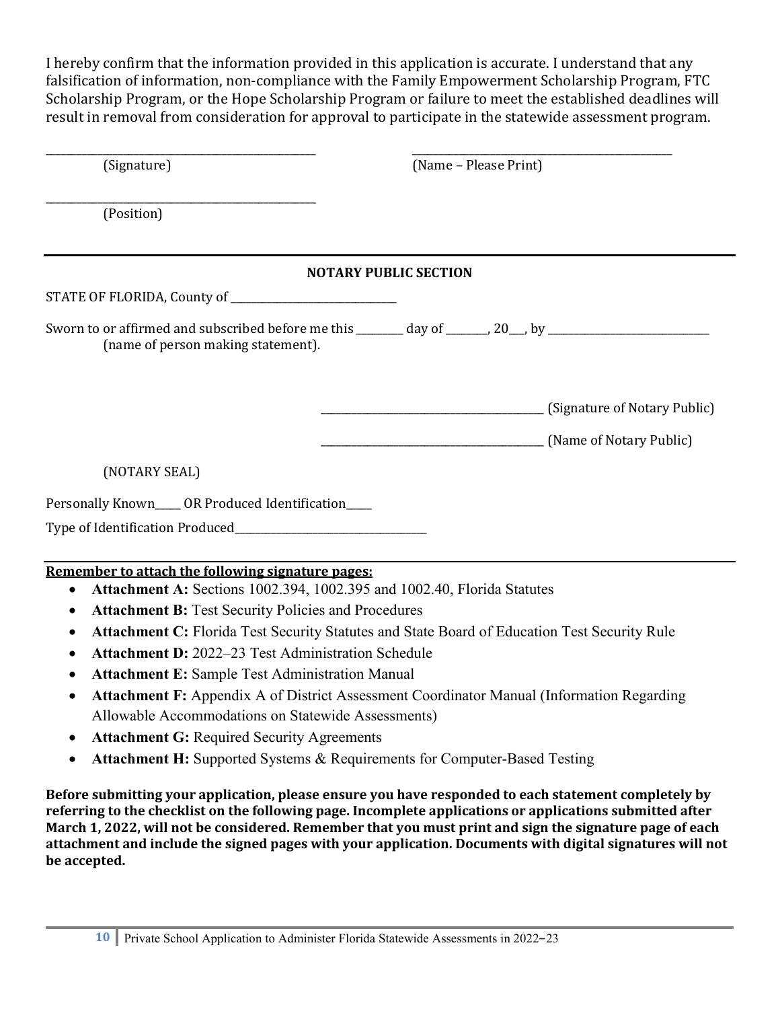I hereby confirm that the information provided in this application is accurate. I understand that any falsification of information, non-compliance with the Family Empowerment Scholarship Program, FTC Scholarship Program, or the Hope Scholarship Program or failure to meet the established deadlines will result in removal from consideration for approval to participate in the statewide assessment program.

| (Signature)                                                                                                                                | (Name - Please Print)        |                                                      |
|--------------------------------------------------------------------------------------------------------------------------------------------|------------------------------|------------------------------------------------------|
| (Position)                                                                                                                                 |                              |                                                      |
|                                                                                                                                            | <b>NOTARY PUBLIC SECTION</b> |                                                      |
|                                                                                                                                            |                              |                                                      |
| Sworn to or affirmed and subscribed before me this ______ day of _____, 20_, by ____________________<br>(name of person making statement). |                              |                                                      |
|                                                                                                                                            |                              | (Signature of Notary Public)                         |
|                                                                                                                                            |                              | <b>Mame of Notary Public</b> (Name of Notary Public) |
| (NOTARY SEAL)                                                                                                                              |                              |                                                      |
| Personally Known____ OR Produced Identification____                                                                                        |                              |                                                      |
|                                                                                                                                            |                              |                                                      |
| Remember to attach the following signature pages:<br>Attachment A: Sections 1002.394, 1002.395 and 1002.40, Florida Statutes<br>$\bullet$  |                              |                                                      |
| <b>Attachment B: Test Security Policies and Procedures</b>                                                                                 |                              |                                                      |
| Attachment C: Florida Test Security Statutes and State Board of Education Test Security Rule<br>٠                                          |                              |                                                      |
| <b>Attachment D:</b> 2022–23 Test Administration Schedule                                                                                  |                              |                                                      |
| <b>Attachment E: Sample Test Administration Manual</b><br>$\bullet$                                                                        |                              |                                                      |
| Attachment F: Appendix A of District Assessment Coordinator Manual (Information Regarding                                                  |                              |                                                      |

- Allowable Accommodations on Statewide Assessments)
- **Attachment G:** Required Security Agreements
- **Attachment H:** Supported Systems & Requirements for Computer-Based Testing

**Before submitting your application, please ensure you have responded to each statement completely by referring to the checklist on the following page. Incomplete applications or applications submitted after March 1, 2022, will not be considered. Remember that you must print and sign the signature page of each attachment and include the signed pages with your application. Documents with digital signatures will not be accepted.**